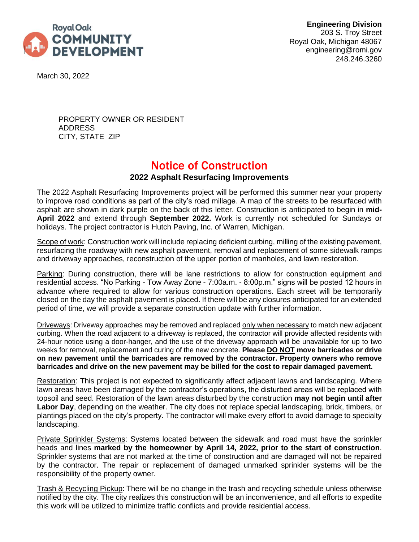

**Engineering Division** 203 S. Troy Street Royal Oak, Michigan 48067 engineering@romi.gov 248.246.3260

March 30, 2022

PROPERTY OWNER OR RESIDENT ADDRESS CITY, STATE ZIP

## Notice of Construction

## **2022 Asphalt Resurfacing Improvements**

The 2022 Asphalt Resurfacing Improvements project will be performed this summer near your property to improve road conditions as part of the city's road millage. A map of the streets to be resurfaced with asphalt are shown in dark purple on the back of this letter. Construction is anticipated to begin in **mid-April 2022** and extend through **September 2022.** Work is currently not scheduled for Sundays or holidays. The project contractor is Hutch Paving, Inc. of Warren, Michigan.

Scope of work: Construction work will include replacing deficient curbing, milling of the existing pavement, resurfacing the roadway with new asphalt pavement, removal and replacement of some sidewalk ramps and driveway approaches, reconstruction of the upper portion of manholes, and lawn restoration.

Parking: During construction, there will be lane restrictions to allow for construction equipment and residential access. "No Parking - Tow Away Zone - 7:00a.m. - 8:00p.m." signs will be posted 12 hours in advance where required to allow for various construction operations. Each street will be temporarily closed on the day the asphalt pavement is placed. If there will be any closures anticipated for an extended period of time, we will provide a separate construction update with further information.

Driveways: Driveway approaches may be removed and replaced only when necessary to match new adjacent curbing. When the road adjacent to a driveway is replaced, the contractor will provide affected residents with 24-hour notice using a door-hanger, and the use of the driveway approach will be unavailable for up to two weeks for removal, replacement and curing of the new concrete. **Please DO NOT move barricades or drive on new pavement until the barricades are removed by the contractor. Property owners who remove barricades and drive on the new pavement may be billed for the cost to repair damaged pavement.**

Restoration: This project is not expected to significantly affect adjacent lawns and landscaping. Where lawn areas have been damaged by the contractor's operations, the disturbed areas will be replaced with topsoil and seed. Restoration of the lawn areas disturbed by the construction **may not begin until after Labor Day**, depending on the weather. The city does not replace special landscaping, brick, timbers, or plantings placed on the city's property. The contractor will make every effort to avoid damage to specialty landscaping.

**Private Sprinkler Systems:** Systems located between the sidewalk and road must have the sprinkler heads and lines **marked by the homeowner by April 14, 2022, prior to the start of construction**. Sprinkler systems that are not marked at the time of construction and are damaged will not be repaired by the contractor. The repair or replacement of damaged unmarked sprinkler systems will be the responsibility of the property owner.

Trash & Recycling Pickup: There will be no change in the trash and recycling schedule unless otherwise notified by the city. The city realizes this construction will be an inconvenience, and all efforts to expedite this work will be utilized to minimize traffic conflicts and provide residential access.